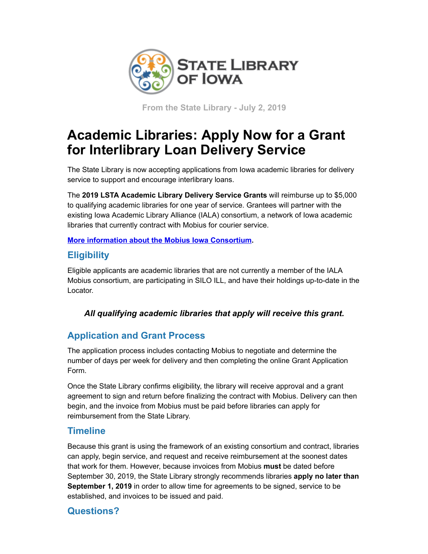

**From the State Library - July 2, 2019**

# **Academic Libraries: Apply Now for a Grant for Interlibrary Loan Delivery Service**

The State Library is now accepting applications from Iowa academic libraries for delivery service to support and encourage interlibrary loans.

The **2019 LSTA Academic Library Delivery Service Grants** will reimburse up to \$5,000 to qualifying academic libraries for one year of service. Grantees will partner with the existing Iowa Academic Library Alliance (IALA) consortium, a network of Iowa academic libraries that currently contract with Mobius for courier service.

#### **[More information about the Mobius Iowa Consortium.](https://mobiusconsortium.org/iowa-courier?utm_medium=email&utm_source=govdelivery)**

## **Eligibility**

Eligible applicants are academic libraries that are not currently a member of the IALA Mobius consortium, are participating in SILO ILL, and have their holdings up-to-date in the Locator.

#### *All qualifying academic libraries that apply will receive this grant.*

## **Application and Grant Process**

The application process includes contacting Mobius to negotiate and determine the number of days per week for delivery and then completing the online Grant Application Form.

Once the State Library confirms eligibility, the library will receive approval and a grant agreement to sign and return before finalizing the contract with Mobius. Delivery can then begin, and the invoice from Mobius must be paid before libraries can apply for reimbursement from the State Library.

## **Timeline**

Because this grant is using the framework of an existing consortium and contract, libraries can apply, begin service, and request and receive reimbursement at the soonest dates that work for them. However, because invoices from Mobius **must** be dated before September 30, 2019, the State Library strongly recommends libraries **apply no later than September 1, 2019** in order to allow time for agreements to be signed, service to be established, and invoices to be issued and paid.

## **Questions?**